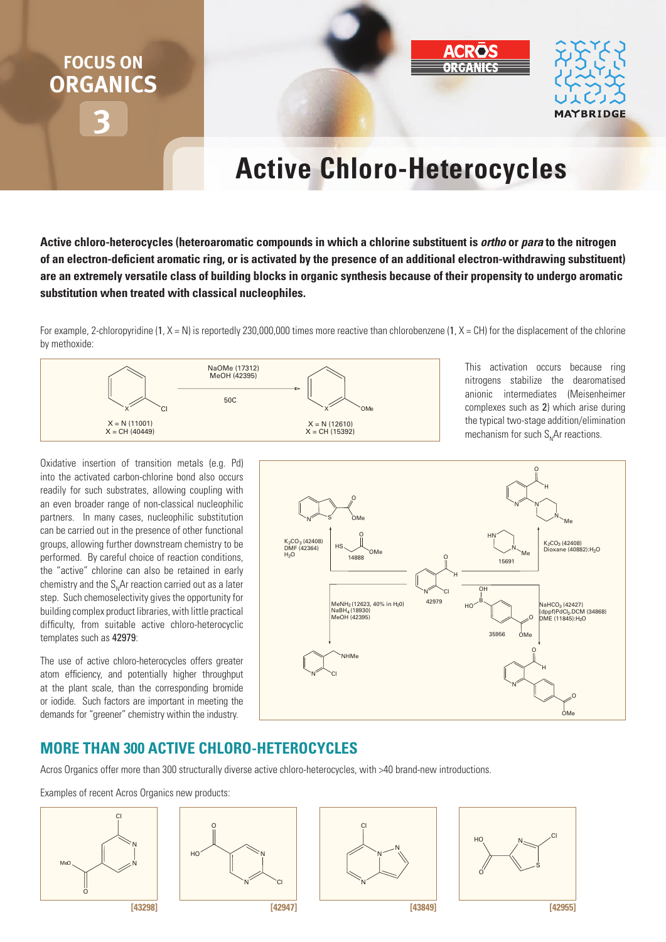# **3 FOCUS ON ORGANICS**



# **Active chloro-heterocycles**

**Active chloro-heterocycles (heteroaromatic compounds in which a chlorine substituent is** *ortho* **or** *para* **to the nitrogen**  of an electron-deficient aromatic ring, or is activated by the presence of an additional electron-withdrawing substituent) **are an extremely versatile class of building blocks in organic synthesis because of their propensity to undergo aromatic substitution when treated with classical nucleophiles.** 

For example, 2-chloropyridine  $(1, X = N)$  is reportedly 230,000,000 times more reactive than chlorobenzene  $(1, X = CH)$  for the displacement of the chlorine by methoxide:



This activation occurs because ring nitrogens stabilize the dearomatised anionic intermediates (Meisenheimer complexes such as 2) which arise during the typical two-stage addition/elimination mechanism for such  $S<sub>N</sub>$ Ar reactions.

Oxidative insertion of transition metals (e.g. Pd) into the activated carbon-chlorine bond also occurs readily for such substrates, allowing coupling with an even broader range of non-classical nucleophilic partners. In many cases, nucleophilic substitution can be carried out in the presence of other functional groups, allowing further downstream chemistry to be performed. By careful choice of reaction conditions, the "active" chlorine can also be retained in early chemistry and the  $S<sub>n</sub>$ Ar reaction carried out as a later step. Such chemoselectivity gives the opportunity for building complex product libraries, with little practical difficulty, from suitable active chloro-heterocyclic templates such as 42979:

The use of active chloro-heterocycles offers greater atom efficiency, and potentially higher throughput at the plant scale, than the corresponding bromide or iodide. Such factors are important in meeting the demands for "greener" chemistry within the industry.



# **more thAn 300 ActiVe chloro-heterocycles**

Acros Organics offer more than 300 structurally diverse active chloro-heterocycles, with >40 brand-new introductions.

Examples of recent Acros Organics new products: